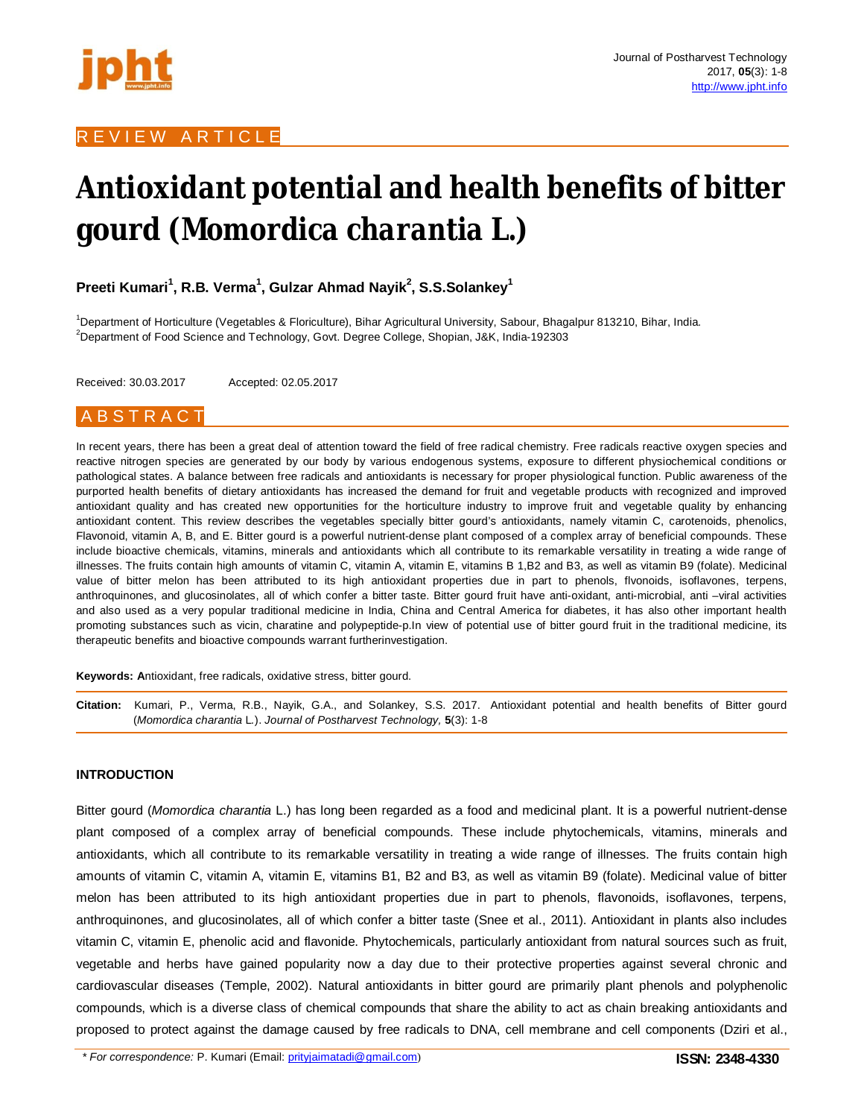

## R E V I E W A R T I C L E

# **Antioxidant potential and health benefits of bitter gourd (***Momordica charantia* **L***.***)**

**Preeti Kumari<sup>1</sup> , R.B. Verma<sup>1</sup> , Gulzar Ahmad Nayik<sup>2</sup> , S.S.Solankey<sup>1</sup>**

<sup>1</sup>Department of Horticulture (Vegetables & Floriculture), Bihar Agricultural University, Sabour, Bhagalpur 813210, Bihar, India. <sup>2</sup>Department of Food Science and Technology, Govt. Degree College, Shopian, J&K, India-192303

Received: 30.03.2017 Accepted: 02.05.2017

## A B S T R A C T

In recent years, there has been a great deal of attention toward the field of free radical chemistry. Free radicals reactive oxygen species and reactive nitrogen species are generated by our body by various endogenous systems, exposure to different physiochemical conditions or pathological states. A balance between free radicals and antioxidants is necessary for proper physiological function. Public awareness of the purported health benefits of dietary antioxidants has increased the demand for fruit and vegetable products with recognized and improved antioxidant quality and has created new opportunities for the horticulture industry to improve fruit and vegetable quality by enhancing antioxidant content. This review describes the vegetables specially bitter gourd's antioxidants, namely vitamin C, carotenoids, phenolics, Flavonoid, vitamin A, B, and E. Bitter gourd is a powerful nutrient-dense plant composed of a complex array of beneficial compounds. These include bioactive chemicals, vitamins, minerals and antioxidants which all contribute to its remarkable versatility in treating a wide range of illnesses. The fruits contain high amounts of vitamin C, vitamin A, vitamin E, vitamins B 1,B2 and B3, as well as vitamin B9 (folate). Medicinal value of bitter melon has been attributed to its high antioxidant properties due in part to phenols, flvonoids, isoflavones, terpens, anthroquinones, and glucosinolates, all of which confer a bitter taste. Bitter gourd fruit have anti-oxidant, anti-microbial, anti –viral activities and also used as a very popular traditional medicine in India, China and Central America for diabetes, it has also other important health promoting substances such as vicin, charatine and polypeptide-p.In view of potential use of bitter gourd fruit in the traditional medicine, its therapeutic benefits and bioactive compounds warrant furtherinvestigation.

**Keywords: A**ntioxidant, free radicals, oxidative stress, bitter gourd.

**Citation:** Kumari, P., Verma, R.B., Nayik, G.A., and Solankey, S.S. 2017. Antioxidant potential and health benefits of Bitter gourd (*Momordica charantia* L*.*). *Journal of Postharvest Technology,* **5**(3): 1-8

## **INTRODUCTION**

Bitter gourd (*Momordica charantia* L.) has long been regarded as a food and medicinal plant. It is a powerful nutrient-dense plant composed of a complex array of beneficial compounds. These include phytochemicals, vitamins, minerals and antioxidants, which all contribute to its remarkable versatility in treating a wide range of illnesses. The fruits contain high amounts of vitamin C, vitamin A, vitamin E, vitamins B1, B2 and B3, as well as vitamin B9 (folate). Medicinal value of bitter melon has been attributed to its high antioxidant properties due in part to phenols, flavonoids, isoflavones, terpens, anthroquinones, and glucosinolates, all of which confer a bitter taste (Snee et al., 2011). Antioxidant in plants also includes vitamin C, vitamin E, phenolic acid and flavonide. Phytochemicals, particularly antioxidant from natural sources such as fruit, vegetable and herbs have gained popularity now a day due to their protective properties against several chronic and cardiovascular diseases (Temple, 2002). Natural antioxidants in bitter gourd are primarily plant phenols and polyphenolic compounds, which is a diverse class of chemical compounds that share the ability to act as chain breaking antioxidants and proposed to protect against the damage caused by free radicals to DNA, cell membrane and cell components (Dziri et al.,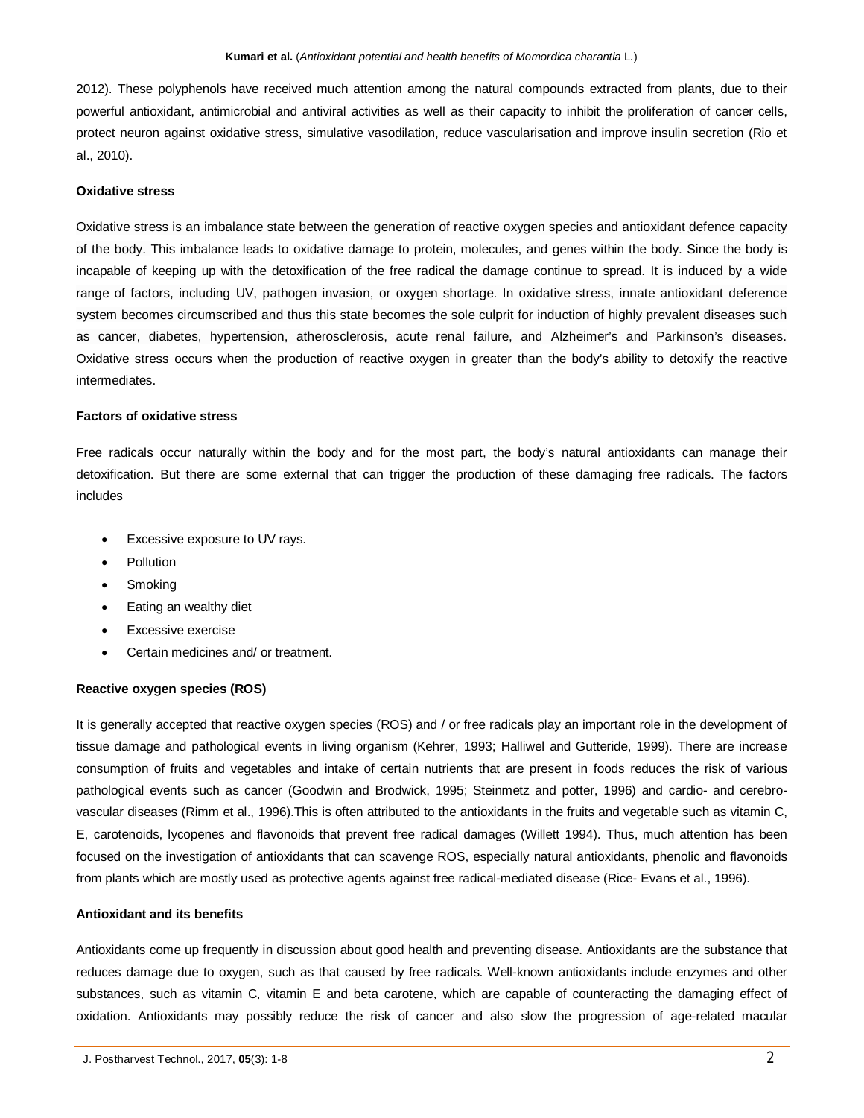2012). These polyphenols have received much attention among the natural compounds extracted from plants, due to their powerful antioxidant, antimicrobial and antiviral activities as well as their capacity to inhibit the proliferation of cancer cells, protect neuron against oxidative stress, simulative vasodilation, reduce vascularisation and improve insulin secretion (Rio et al., 2010).

#### **Oxidative stress**

Oxidative stress is an imbalance state between the generation of reactive oxygen species and antioxidant defence capacity of the body. This imbalance leads to oxidative damage to protein, molecules, and genes within the body. Since the body is incapable of keeping up with the detoxification of the free radical the damage continue to spread. It is induced by a wide range of factors, including UV, pathogen invasion, or oxygen shortage. In oxidative stress, innate antioxidant deference system becomes circumscribed and thus this state becomes the sole culprit for induction of highly prevalent diseases such as cancer, diabetes, hypertension, atherosclerosis, acute renal failure, and Alzheimer's and Parkinson's diseases. Oxidative stress occurs when the production of reactive oxygen in greater than the body's ability to detoxify the reactive intermediates.

## **Factors of oxidative stress**

Free radicals occur naturally within the body and for the most part, the body's natural antioxidants can manage their detoxification. But there are some external that can trigger the production of these damaging free radicals. The factors includes

- Excessive exposure to UV rays.
- Pollution
- Smoking
- Eating an wealthy diet
- Excessive exercise
- Certain medicines and/ or treatment.

### **Reactive oxygen species (ROS)**

It is generally accepted that reactive oxygen species (ROS) and / or free radicals play an important role in the development of tissue damage and pathological events in living organism (Kehrer, 1993; Halliwel and Gutteride, 1999). There are increase consumption of fruits and vegetables and intake of certain nutrients that are present in foods reduces the risk of various pathological events such as cancer (Goodwin and Brodwick, 1995; Steinmetz and potter, 1996) and cardio- and cerebrovascular diseases (Rimm et al., 1996).This is often attributed to the antioxidants in the fruits and vegetable such as vitamin C, E, carotenoids, lycopenes and flavonoids that prevent free radical damages (Willett 1994). Thus, much attention has been focused on the investigation of antioxidants that can scavenge ROS, especially natural antioxidants, phenolic and flavonoids from plants which are mostly used as protective agents against free radical-mediated disease (Rice- Evans et al., 1996).

## **Antioxidant and its benefits**

Antioxidants come up frequently in discussion about good health and preventing disease. Antioxidants are the substance that reduces damage due to oxygen, such as that caused by free radicals. Well-known antioxidants include enzymes and other substances, such as vitamin C, vitamin E and beta carotene, which are capable of counteracting the damaging effect of oxidation. Antioxidants may possibly reduce the risk of cancer and also slow the progression of age-related macular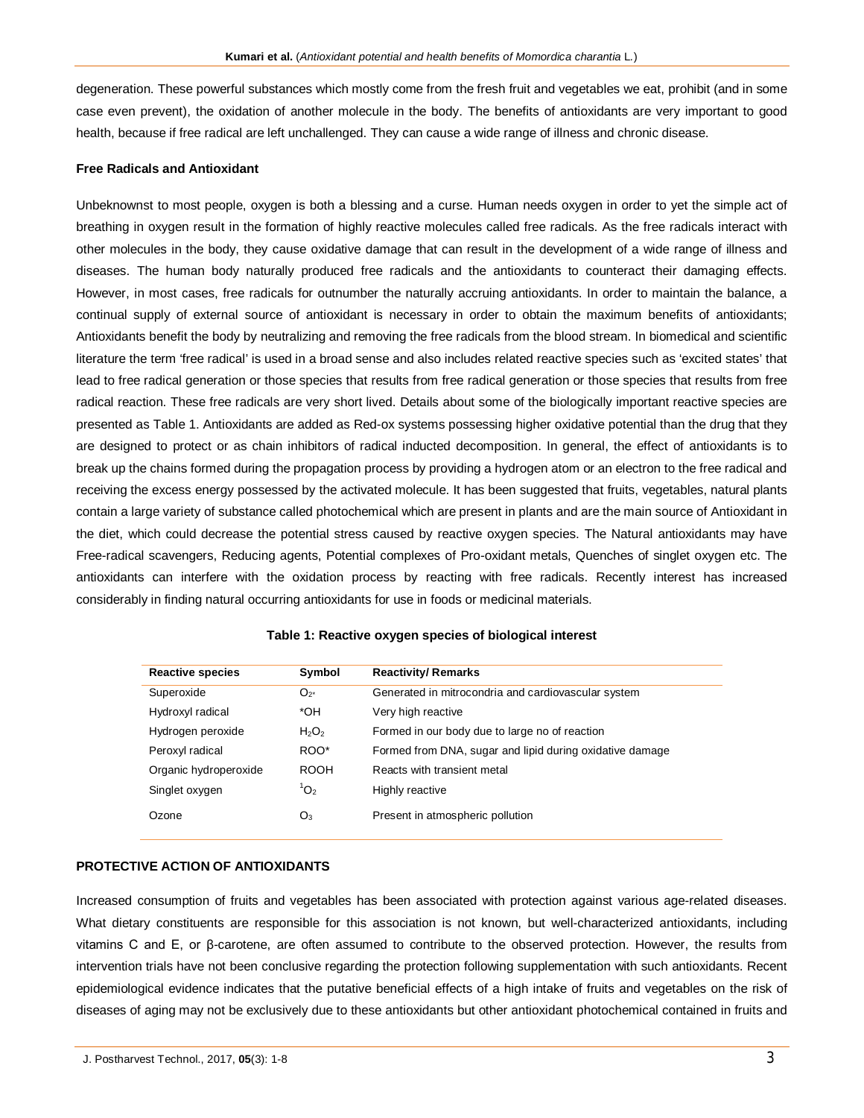degeneration. These powerful substances which mostly come from the fresh fruit and vegetables we eat, prohibit (and in some case even prevent), the oxidation of another molecule in the body. The benefits of antioxidants are very important to good health, because if free radical are left unchallenged. They can cause a wide range of illness and chronic disease.

### **Free Radicals and Antioxidant**

Unbeknownst to most people, oxygen is both a blessing and a curse. Human needs oxygen in order to yet the simple act of breathing in oxygen result in the formation of highly reactive molecules called free radicals. As the free radicals interact with other molecules in the body, they cause oxidative damage that can result in the development of a wide range of illness and diseases. The human body naturally produced free radicals and the antioxidants to counteract their damaging effects. However, in most cases, free radicals for outnumber the naturally accruing antioxidants. In order to maintain the balance, a continual supply of external source of antioxidant is necessary in order to obtain the maximum benefits of antioxidants; Antioxidants benefit the body by neutralizing and removing the free radicals from the blood stream. In biomedical and scientific literature the term 'free radical' is used in a broad sense and also includes related reactive species such as 'excited states' that lead to free radical generation or those species that results from free radical generation or those species that results from free radical reaction. These free radicals are very short lived. Details about some of the biologically important reactive species are presented as Table 1. Antioxidants are added as Red-ox systems possessing higher oxidative potential than the drug that they are designed to protect or as chain inhibitors of radical inducted decomposition. In general, the effect of antioxidants is to break up the chains formed during the propagation process by providing a hydrogen atom or an electron to the free radical and receiving the excess energy possessed by the activated molecule. It has been suggested that fruits, vegetables, natural plants contain a large variety of substance called photochemical which are present in plants and are the main source of Antioxidant in the diet, which could decrease the potential stress caused by reactive oxygen species. The Natural antioxidants may have Free-radical scavengers, Reducing agents, Potential complexes of Pro-oxidant metals, Quenches of singlet oxygen etc. The antioxidants can interfere with the oxidation process by reacting with free radicals. Recently interest has increased considerably in finding natural occurring antioxidants for use in foods or medicinal materials.

| <b>Reactive species</b> | Symbol           | <b>Reactivity/Remarks</b>                                |
|-------------------------|------------------|----------------------------------------------------------|
| Superoxide              | $O_{2^*}$        | Generated in mitrocondria and cardiovascular system      |
| Hydroxyl radical        | *OH              | Very high reactive                                       |
| Hydrogen peroxide       | $H_2O_2$         | Formed in our body due to large no of reaction           |
| Peroxyl radical         | ROO*             | Formed from DNA, sugar and lipid during oxidative damage |
| Organic hydroperoxide   | <b>ROOH</b>      | Reacts with transient metal                              |
| Singlet oxygen          | $^{\prime}O_{2}$ | Highly reactive                                          |
| Ozone                   | $O_3$            | Present in atmospheric pollution                         |

## **Table 1: Reactive oxygen species of biological interest**

## **PROTECTIVE ACTION OF ANTIOXIDANTS**

Increased consumption of fruits and vegetables has been associated with protection against various age-related diseases. What dietary constituents are responsible for this association is not known, but well-characterized antioxidants, including vitamins C and E, or β-carotene, are often assumed to contribute to the observed protection. However, the results from intervention trials have not been conclusive regarding the protection following supplementation with such antioxidants. Recent epidemiological evidence indicates that the putative beneficial effects of a high intake of fruits and vegetables on the risk of diseases of aging may not be exclusively due to these antioxidants but other antioxidant photochemical contained in fruits and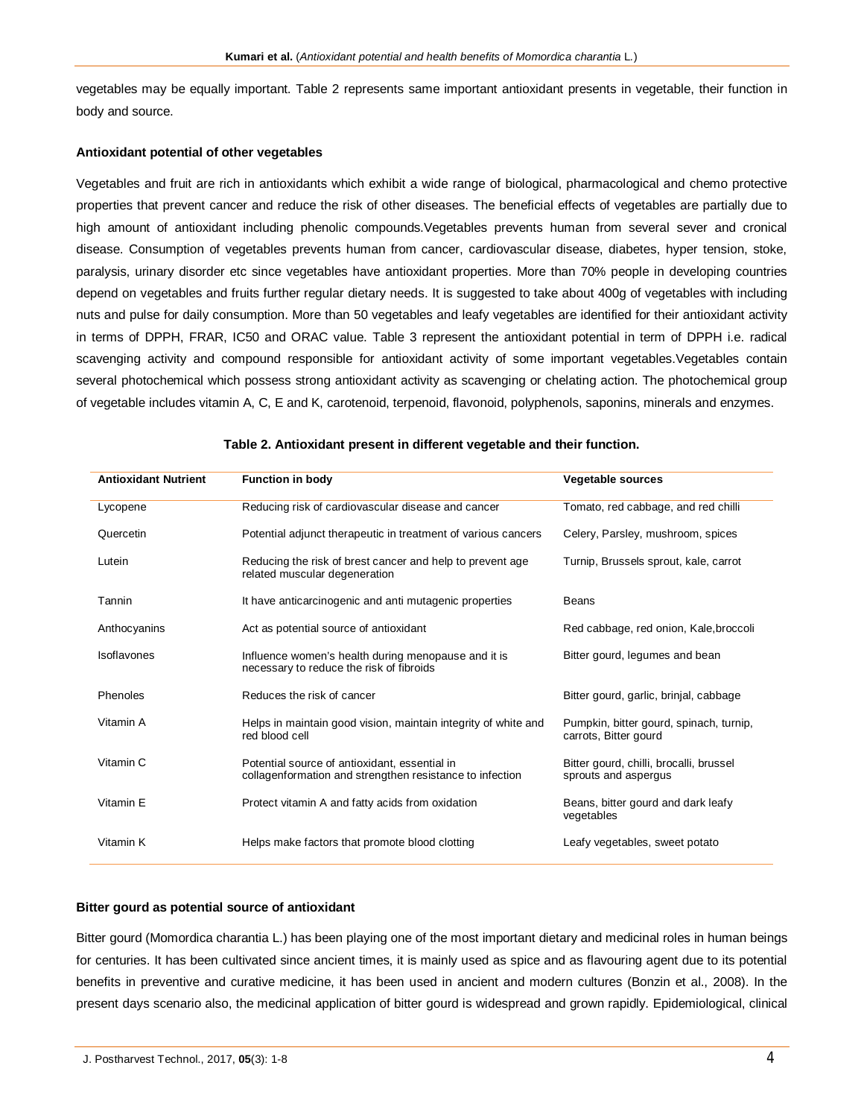vegetables may be equally important. Table 2 represents same important antioxidant presents in vegetable, their function in body and source.

## **Antioxidant potential of other vegetables**

Vegetables and fruit are rich in antioxidants which exhibit a wide range of biological, pharmacological and chemo protective properties that prevent cancer and reduce the risk of other diseases. The beneficial effects of vegetables are partially due to high amount of antioxidant including phenolic compounds.Vegetables prevents human from several sever and cronical disease. Consumption of vegetables prevents human from cancer, cardiovascular disease, diabetes, hyper tension, stoke, paralysis, urinary disorder etc since vegetables have antioxidant properties. More than 70% people in developing countries depend on vegetables and fruits further regular dietary needs. It is suggested to take about 400g of vegetables with including nuts and pulse for daily consumption. More than 50 vegetables and leafy vegetables are identified for their antioxidant activity in terms of DPPH, FRAR, IC50 and ORAC value. Table 3 represent the antioxidant potential in term of DPPH i.e. radical scavenging activity and compound responsible for antioxidant activity of some important vegetables. Vegetables contain several photochemical which possess strong antioxidant activity as scavenging or chelating action. The photochemical group of vegetable includes vitamin A, C, E and K, carotenoid, terpenoid, flavonoid, polyphenols, saponins, minerals and enzymes.

| <b>Antioxidant Nutrient</b> | <b>Function in body</b>                                                                                   | <b>Vegetable sources</b>                                         |
|-----------------------------|-----------------------------------------------------------------------------------------------------------|------------------------------------------------------------------|
| Lycopene                    | Reducing risk of cardiovascular disease and cancer                                                        | Tomato, red cabbage, and red chilli                              |
| Quercetin                   | Potential adjunct therapeutic in treatment of various cancers                                             | Celery, Parsley, mushroom, spices                                |
| Lutein                      | Reducing the risk of brest cancer and help to prevent age<br>related muscular degeneration                | Turnip, Brussels sprout, kale, carrot                            |
| Tannin                      | It have anticarcinogenic and anti mutagenic properties                                                    | <b>Beans</b>                                                     |
| Anthocyanins                | Act as potential source of antioxidant                                                                    | Red cabbage, red onion, Kale, broccoli                           |
| Isoflavones                 | Influence women's health during menopause and it is<br>necessary to reduce the risk of fibroids           | Bitter gourd, legumes and bean                                   |
| Phenoles                    | Reduces the risk of cancer                                                                                | Bitter gourd, garlic, brinjal, cabbage                           |
| Vitamin A                   | Helps in maintain good vision, maintain integrity of white and<br>red blood cell                          | Pumpkin, bitter gourd, spinach, turnip,<br>carrots, Bitter gourd |
| Vitamin C                   | Potential source of antioxidant, essential in<br>collagenformation and strengthen resistance to infection | Bitter gourd, chilli, brocalli, brussel<br>sprouts and aspergus  |
| Vitamin E                   | Protect vitamin A and fatty acids from oxidation                                                          | Beans, bitter gourd and dark leafy<br>vegetables                 |
| Vitamin K                   | Helps make factors that promote blood clotting                                                            | Leafy vegetables, sweet potato                                   |

### **Table 2. Antioxidant present in different vegetable and their function.**

## **Bitter gourd as potential source of antioxidant**

Bitter gourd (Momordica charantia L.) has been playing one of the most important dietary and medicinal roles in human beings for centuries. It has been cultivated since ancient times, it is mainly used as spice and as flavouring agent due to its potential benefits in preventive and curative medicine, it has been used in ancient and modern cultures (Bonzin et al., 2008). In the present days scenario also, the medicinal application of bitter gourd is widespread and grown rapidly. Epidemiological, clinical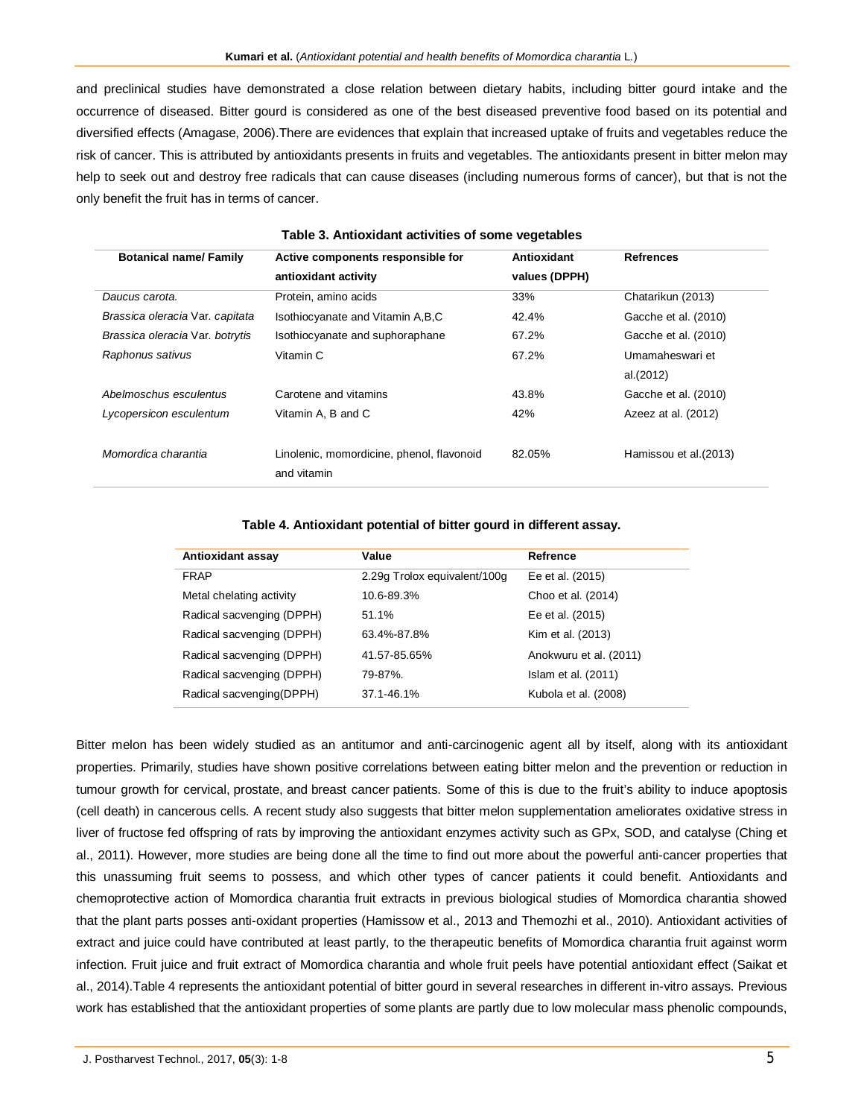and preclinical studies have demonstrated a close relation between dietary habits, including bitter gourd intake and the occurrence of diseased. Bitter gourd is considered as one of the best diseased preventive food based on its potential and diversified effects (Amagase, 2006).There are evidences that explain that increased uptake of fruits and vegetables reduce the risk of cancer. This is attributed by antioxidants presents in fruits and vegetables. The antioxidants present in bitter melon may help to seek out and destroy free radicals that can cause diseases (including numerous forms of cancer), but that is not the only benefit the fruit has in terms of cancer.

| Table 3. Alluoxidalli activities of sofile vegetables |                                           |               |                        |  |
|-------------------------------------------------------|-------------------------------------------|---------------|------------------------|--|
| <b>Botanical name/Family</b>                          | Active components responsible for         | Antioxidant   | <b>Refrences</b>       |  |
|                                                       | antioxidant activity                      | values (DPPH) |                        |  |
| Daucus carota.                                        | Protein, amino acids                      | 33%           | Chatarikun (2013)      |  |
| Brassica oleracia Var. capitata                       | Isothiocyanate and Vitamin A, B, C        | 42.4%         | Gacche et al. (2010)   |  |
| Brassica oleracia Var. botrytis                       | Isothiocyanate and suphoraphane           | 67.2%         | Gacche et al. (2010)   |  |
| Raphonus sativus                                      | Vitamin C                                 | 67.2%         | Umamaheswari et        |  |
|                                                       |                                           |               | al.(2012)              |  |
| Abelmoschus esculentus                                | Carotene and vitamins                     | 43.8%         | Gacche et al. (2010)   |  |
| Lycopersicon esculentum                               | Vitamin A, B and C                        | 42%           | Azeez at al. (2012)    |  |
|                                                       |                                           |               |                        |  |
| Momordica charantia                                   | Linolenic, momordicine, phenol, flavonoid | 82.05%        | Hamissou et al. (2013) |  |
|                                                       | and vitamin                               |               |                        |  |

## **Table 3. Antioxidant activities of some vegetables**

#### **Table 4. Antioxidant potential of bitter gourd in different assay.**

| Antioxidant assay         | Value                        | Refrence               |
|---------------------------|------------------------------|------------------------|
| <b>FRAP</b>               | 2.29g Trolox equivalent/100g | Ee et al. (2015)       |
| Metal chelating activity  | 10.6-89.3%                   | Choo et al. (2014)     |
| Radical sacvenging (DPPH) | 51.1%                        | Ee et al. (2015)       |
| Radical sacvenging (DPPH) | 63.4%-87.8%                  | Kim et al. (2013)      |
| Radical sacvenging (DPPH) | 41.57-85.65%                 | Anokwuru et al. (2011) |
| Radical sacvenging (DPPH) | 79-87%.                      | Islam et al. (2011)    |
| Radical sacvenging(DPPH)  | 37.1-46.1%                   | Kubola et al. (2008)   |

Bitter melon has been widely studied as an antitumor and anti-carcinogenic agent all by itself, along with its antioxidant properties. Primarily, studies have shown positive correlations between eating bitter melon and the prevention or reduction in tumour growth for cervical, prostate, and breast cancer patients. Some of this is due to the fruit's ability to induce apoptosis (cell death) in cancerous cells. A recent study also suggests that bitter melon supplementation ameliorates oxidative stress in liver of fructose fed offspring of rats by improving the antioxidant enzymes activity such as GPx, SOD, and catalyse (Ching et al., 2011). However, more studies are being done all the time to find out more about the powerful anti-cancer properties that this unassuming fruit seems to possess, and which other types of cancer patients it could benefit. Antioxidants and chemoprotective action of Momordica charantia fruit extracts in previous biological studies of Momordica charantia showed that the plant parts posses anti-oxidant properties (Hamissow et al., 2013 and Themozhi et al., 2010). Antioxidant activities of extract and juice could have contributed at least partly, to the therapeutic benefits of Momordica charantia fruit against worm infection. Fruit juice and fruit extract of Momordica charantia and whole fruit peels have potential antioxidant effect (Saikat et al., 2014).Table 4 represents the antioxidant potential of bitter gourd in several researches in different in-vitro assays. Previous work has established that the antioxidant properties of some plants are partly due to low molecular mass phenolic compounds,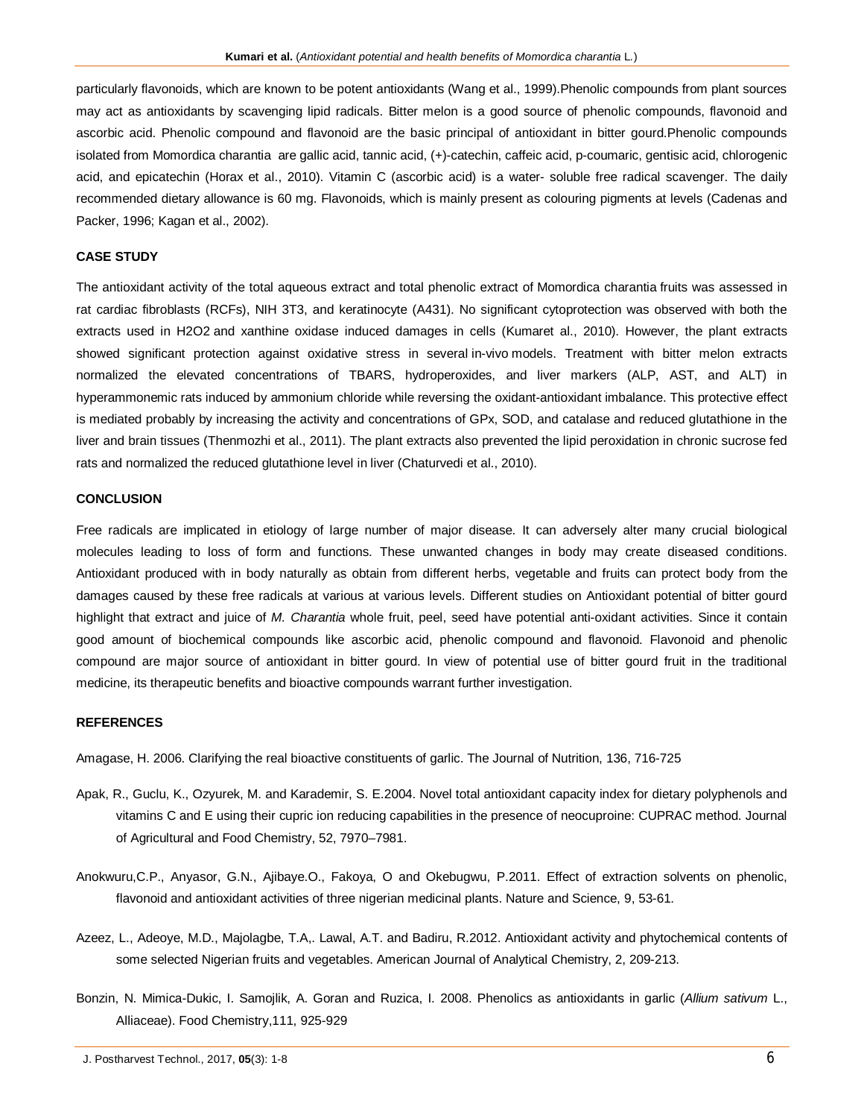particularly flavonoids, which are known to be potent antioxidants (Wang et al., 1999).Phenolic compounds from plant sources may act as antioxidants by scavenging lipid radicals. Bitter melon is a good source of phenolic compounds, flavonoid and ascorbic acid. Phenolic compound and flavonoid are the basic principal of antioxidant in bitter gourd.Phenolic compounds isolated from Momordica charantia are gallic acid, tannic acid, (+)-catechin, caffeic acid, p-coumaric, gentisic acid, chlorogenic acid, and epicatechin (Horax et al., 2010). Vitamin C (ascorbic acid) is a water- soluble free radical scavenger. The daily recommended dietary allowance is 60 mg. Flavonoids, which is mainly present as colouring pigments at levels (Cadenas and Packer, 1996; Kagan et al., 2002).

## **CASE STUDY**

The antioxidant activity of the total aqueous extract and total phenolic extract of Momordica charantia fruits was assessed in rat cardiac fibroblasts (RCFs), NIH 3T3, and keratinocyte (A431). No significant cytoprotection was observed with both the extracts used in H2O2 and xanthine oxidase induced damages in cells (Kumaret al., 2010). However, the plant extracts showed significant protection against oxidative stress in several in-vivo models. Treatment with bitter melon extracts normalized the elevated concentrations of TBARS, hydroperoxides, and liver markers (ALP, AST, and ALT) in hyperammonemic rats induced by ammonium chloride while reversing the oxidant-antioxidant imbalance. This protective effect is mediated probably by increasing the activity and concentrations of GPx, SOD, and catalase and reduced glutathione in the liver and brain tissues (Thenmozhi et al., 2011). The plant extracts also prevented the lipid peroxidation in chronic sucrose fed rats and normalized the reduced glutathione level in liver (Chaturvedi et al., 2010).

## **CONCLUSION**

Free radicals are implicated in etiology of large number of major disease. It can adversely alter many crucial biological molecules leading to loss of form and functions. These unwanted changes in body may create diseased conditions. Antioxidant produced with in body naturally as obtain from different herbs, vegetable and fruits can protect body from the damages caused by these free radicals at various at various levels. Different studies on Antioxidant potential of bitter gourd highlight that extract and juice of *M. Charantia* whole fruit, peel, seed have potential anti-oxidant activities. Since it contain good amount of biochemical compounds like ascorbic acid, phenolic compound and flavonoid. Flavonoid and phenolic compound are major source of antioxidant in bitter gourd. In view of potential use of bitter gourd fruit in the traditional medicine, its therapeutic benefits and bioactive compounds warrant further investigation.

## **REFERENCES**

Amagase, H. 2006. Clarifying the real bioactive constituents of garlic. The Journal of Nutrition, 136, 716-725

- Apak, R., Guclu, K., Ozyurek, M. and Karademir, S. E.2004. Novel total antioxidant capacity index for dietary polyphenols and vitamins C and E using their cupric ion reducing capabilities in the presence of neocuproine: CUPRAC method. Journal of Agricultural and Food Chemistry, 52, 7970–7981.
- Anokwuru,C.P., Anyasor, G.N., Ajibaye.O., Fakoya, O and Okebugwu, P.2011. Effect of extraction solvents on phenolic, flavonoid and antioxidant activities of three nigerian medicinal plants. Nature and Science, 9, 53-61.
- Azeez, L., Adeoye, M.D., Majolagbe, T.A,. Lawal, A.T. and Badiru, R.2012. Antioxidant activity and phytochemical contents of some selected Nigerian fruits and vegetables. American Journal of Analytical Chemistry, 2, 209-213.
- Bonzin, N. Mimica-Dukic, I. Samojlik, A. Goran and Ruzica, I. 2008. Phenolics as antioxidants in garlic (*Allium sativum* L., Alliaceae). Food Chemistry,111, 925-929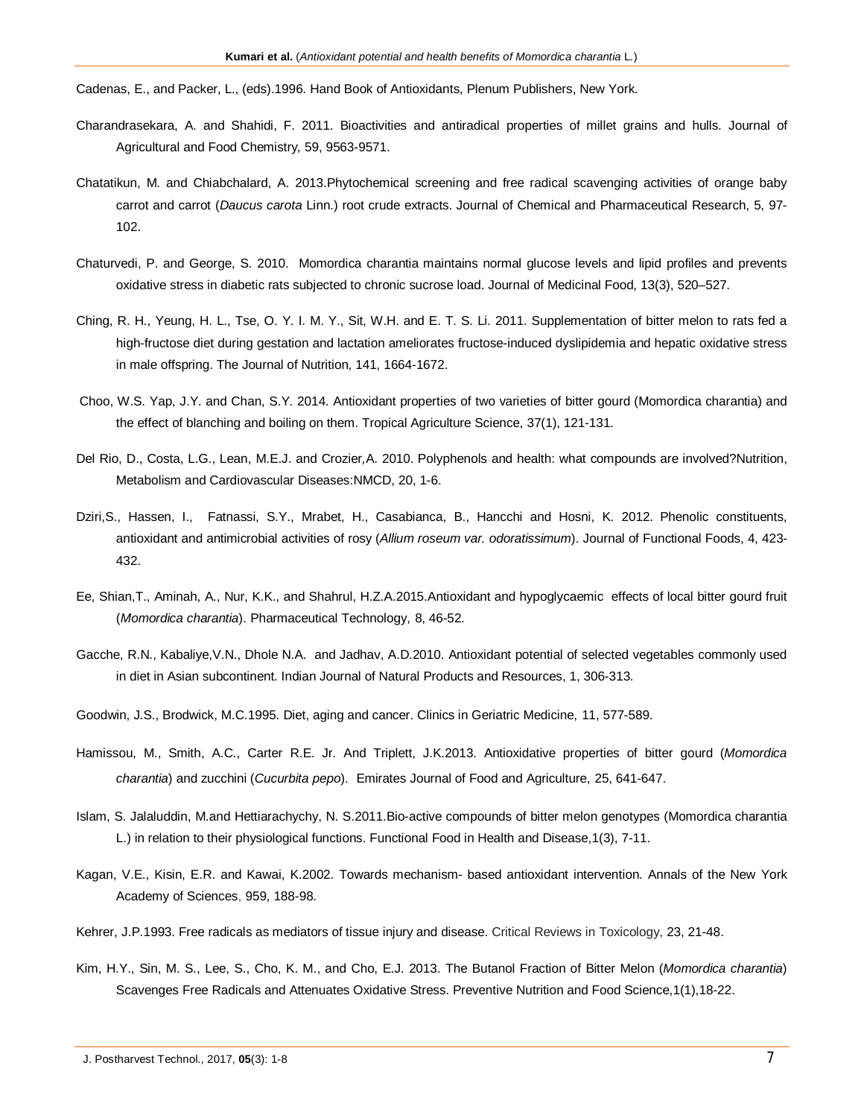Cadenas, E., and Packer, L., (eds).1996. Hand Book of Antioxidants, Plenum Publishers, New York.

- Charandrasekara, A. and Shahidi, F. 2011. Bioactivities and antiradical properties of millet grains and hulls. Journal of Agricultural and Food Chemistry*,* 59, 9563-9571.
- Chatatikun, M. and Chiabchalard, A. 2013.Phytochemical screening and free radical scavenging activities of orange baby carrot and carrot (*Daucus carota* Linn.) root crude extracts. Journal of Chemical and Pharmaceutical Research, 5, 97- 102.
- Chaturvedi, P. and George, S. 2010. Momordica charantia maintains normal glucose levels and lipid profiles and prevents oxidative stress in diabetic rats subjected to chronic sucrose load. Journal of Medicinal Food, 13(3), 520–527.
- Ching, R. H., Yeung, H. L., Tse, O. Y. I. M. Y., Sit, W.H. and E. T. S. Li. 2011. Supplementation of bitter melon to rats fed a high-fructose diet during gestation and lactation ameliorates fructose-induced dyslipidemia and hepatic oxidative stress in male offspring. The Journal of Nutrition, 141, 1664-1672.
- Choo, W.S. Yap, J.Y. and Chan, S.Y. 2014. Antioxidant properties of two varieties of bitter gourd (Momordica charantia) and the effect of blanching and boiling on them. Tropical Agriculture Science, 37(1), 121-131.
- Del Rio, D., Costa, L.G., Lean, M.E.J. and Crozier*,*A. 2010. Polyphenols and health: what compounds are involved?Nutrition, Metabolism and Cardiovascular Diseases:NMCD, 20, 1-6.
- Dziri,S., Hassen, I., Fatnassi, S.Y., Mrabet, H., Casabianca, B., Hancchi and Hosni, K. 2012. Phenolic constituents, antioxidant and antimicrobial activities of rosy (*Allium roseum var. odoratissimum*). Journal of Functional Foods, 4, 423- 432.
- Ee, Shian,T., Aminah, A., Nur, K.K., and Shahrul, H.Z.A.2015.Antioxidant and hypoglycaemic effects of local bitter gourd fruit (*Momordica charantia*). Pharmaceutical Technology, 8, 46-52.
- Gacche, R.N., Kabaliye,V.N., Dhole N.A. and Jadhav, A.D.2010. Antioxidant potential of selected vegetables commonly used in diet in Asian subcontinent. Indian Journal of Natural Products and Resources, 1, 306-313.
- Goodwin, J.S., Brodwick, M.C.1995. Diet, aging and cancer. Clinics in Geriatric Medicine, 11, 577-589.
- Hamissou, M., Smith, A.C., Carter R.E. Jr. And Triplett, J.K.2013. Antioxidative properties of bitter gourd (*Momordica charantia*) and zucchini (*Cucurbita pepo*). Emirates Journal of Food and Agriculture, 25, 641-647.
- Islam, S. Jalaluddin, M.and Hettiarachychy, N. S.2011.Bio-active compounds of bitter melon genotypes (Momordica charantia L.) in relation to their physiological functions. Functional Food in Health and Disease,1(3), 7-11.
- Kagan, V.E., Kisin, E.R. and Kawai, K.2002. Towards mechanism- based antioxidant intervention. Annals of the New York Academy of Sciences, 959, 188-98.
- Kehrer, J.P.1993. Free radicals as mediators of tissue injury and disease. Critical Reviews in Toxicology, 23, 21-48.
- Kim, H.Y., Sin, M. S., Lee, S., Cho, K. M., and Cho, E.J. 2013. The Butanol Fraction of Bitter Melon (*Momordica charantia*) Scavenges Free Radicals and Attenuates Oxidative Stress. Preventive Nutrition and Food Science,1(1),18-22.